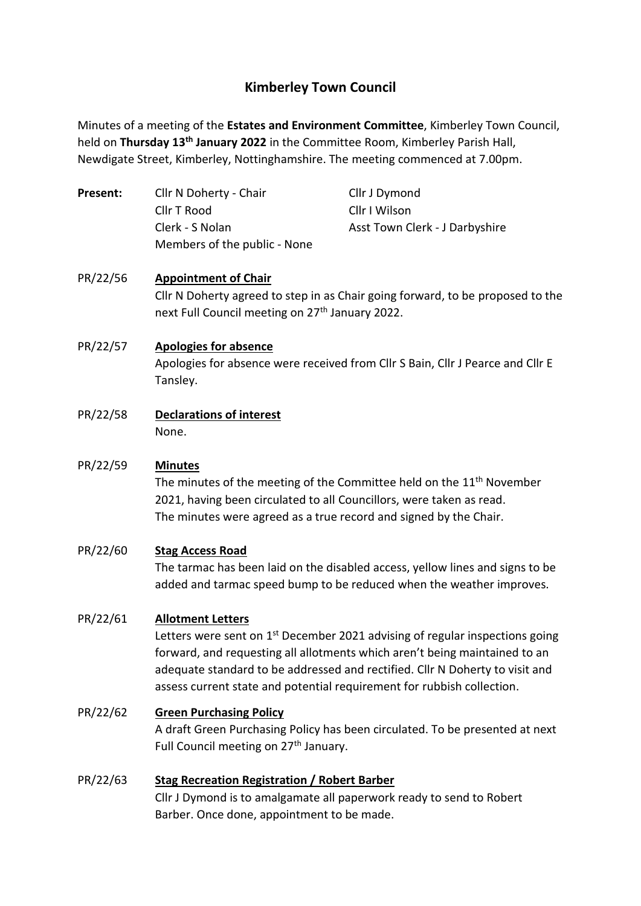# **Kimberley Town Council**

Minutes of a meeting of the **Estates and Environment Committee**, Kimberley Town Council, held on **Thursday 13th January 2022** in the Committee Room, Kimberley Parish Hall, Newdigate Street, Kimberley, Nottinghamshire. The meeting commenced at 7.00pm.

| Present: | Cllr N Doherty - Chair       | Cllr J Dymond                  |
|----------|------------------------------|--------------------------------|
|          | Cllr T Rood                  | Cllr I Wilson                  |
|          | Clerk - S Nolan              | Asst Town Clerk - J Darbyshire |
|          | Members of the public - None |                                |

## PR/22/56 **Appointment of Chair** Cllr N Doherty agreed to step in as Chair going forward, to be proposed to the next Full Council meeting on 27<sup>th</sup> January 2022.

## PR/22/57 **Apologies for absence**

Apologies for absence were received from Cllr S Bain, Cllr J Pearce and Cllr E Tansley.

PR/22/58 **Declarations of interest** None.

### PR/22/59 **Minutes**

The minutes of the meeting of the Committee held on the 11<sup>th</sup> November 2021, having been circulated to all Councillors, were taken as read. The minutes were agreed as a true record and signed by the Chair.

### PR/22/60 **Stag Access Road**

The tarmac has been laid on the disabled access, yellow lines and signs to be added and tarmac speed bump to be reduced when the weather improves.

### PR/22/61 **Allotment Letters**

Letters were sent on 1<sup>st</sup> December 2021 advising of regular inspections going forward, and requesting all allotments which aren't being maintained to an adequate standard to be addressed and rectified. Cllr N Doherty to visit and assess current state and potential requirement for rubbish collection.

## PR/22/62 **Green Purchasing Policy**

A draft Green Purchasing Policy has been circulated. To be presented at next Full Council meeting on 27<sup>th</sup> January.

### PR/22/63 **Stag Recreation Registration / Robert Barber**

Cllr J Dymond is to amalgamate all paperwork ready to send to Robert Barber. Once done, appointment to be made.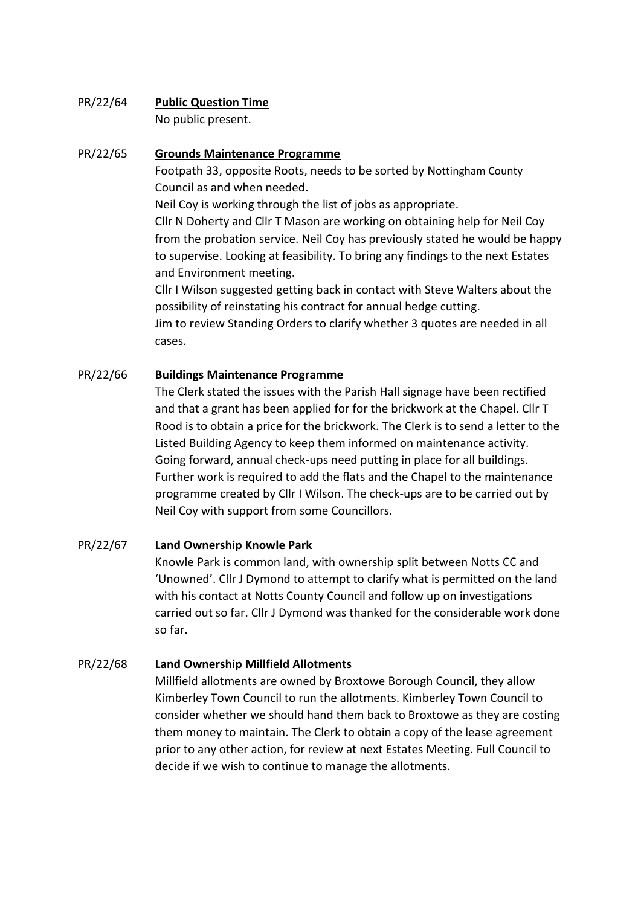# PR/22/64 **Public Question Time**

No public present.

## PR/22/65 **Grounds Maintenance Programme**

Footpath 33, opposite Roots, needs to be sorted by Nottingham County Council as and when needed.

Neil Coy is working through the list of jobs as appropriate.

Cllr N Doherty and Cllr T Mason are working on obtaining help for Neil Coy from the probation service. Neil Coy has previously stated he would be happy to supervise. Looking at feasibility. To bring any findings to the next Estates and Environment meeting.

Cllr I Wilson suggested getting back in contact with Steve Walters about the possibility of reinstating his contract for annual hedge cutting.

Jim to review Standing Orders to clarify whether 3 quotes are needed in all cases.

## PR/22/66 **Buildings Maintenance Programme**

The Clerk stated the issues with the Parish Hall signage have been rectified and that a grant has been applied for for the brickwork at the Chapel. Cllr T Rood is to obtain a price for the brickwork. The Clerk is to send a letter to the Listed Building Agency to keep them informed on maintenance activity. Going forward, annual check-ups need putting in place for all buildings. Further work is required to add the flats and the Chapel to the maintenance programme created by Cllr I Wilson. The check-ups are to be carried out by Neil Coy with support from some Councillors.

## PR/22/67 **Land Ownership Knowle Park**

Knowle Park is common land, with ownership split between Notts CC and 'Unowned'. Cllr J Dymond to attempt to clarify what is permitted on the land with his contact at Notts County Council and follow up on investigations carried out so far. Cllr J Dymond was thanked for the considerable work done so far.

## PR/22/68 **Land Ownership Millfield Allotments**

Millfield allotments are owned by Broxtowe Borough Council, they allow Kimberley Town Council to run the allotments. Kimberley Town Council to consider whether we should hand them back to Broxtowe as they are costing them money to maintain. The Clerk to obtain a copy of the lease agreement prior to any other action, for review at next Estates Meeting. Full Council to decide if we wish to continue to manage the allotments.